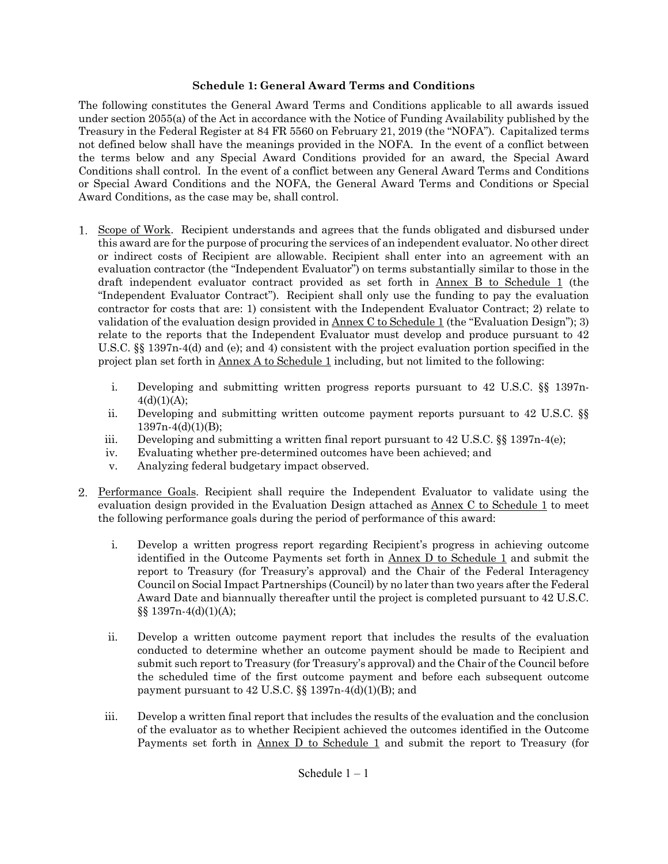#### **Schedule 1: General Award Terms and Conditions**

The following constitutes the General Award Terms and Conditions applicable to all awards issued under section 2055(a) of the Act in accordance with the Notice of Funding Availability published by the Treasury in the Federal Register at 84 FR 5560 on February 21, 2019 (the "NOFA"). Capitalized terms not defined below shall have the meanings provided in the NOFA. In the event of a conflict between the terms below and any Special Award Conditions provided for an award, the Special Award Conditions shall control. In the event of a conflict between any General Award Terms and Conditions or Special Award Conditions and the NOFA, the General Award Terms and Conditions or Special Award Conditions, as the case may be, shall control.

- Scope of Work. Recipient understands and agrees that the funds obligated and disbursed under 1. this award are for the purpose of procuring the services of an independent evaluator. No other direct or indirect costs of Recipient are allowable. Recipient shall enter into an agreement with an evaluation contractor (the "Independent Evaluator") on terms substantially similar to those in the draft independent evaluator contract provided as set forth in Annex B to Schedule 1 (the "Independent Evaluator Contract"). Recipient shall only use the funding to pay the evaluation contractor for costs that are: 1) consistent with the Independent Evaluator Contract; 2) relate to validation of the evaluation design provided in Annex C to Schedule 1 (the "Evaluation Design"); 3) relate to the reports that the Independent Evaluator must develop and produce pursuant to 42 U.S.C. §§ 1397n-4(d) and (e); and 4) consistent with the project evaluation portion specified in the project plan set forth in Annex A to Schedule 1 including, but not limited to the following:
	- i. Developing and submitting written progress reports pursuant to 42 U.S.C. §§ 1397n- $4(d)(1)(A);$
	- ii. Developing and submitting written outcome payment reports pursuant to 42 U.S.C. §§  $1397n-4(d)(1)(B);$
	- iii. Developing and submitting a written final report pursuant to  $42 \text{ U.S.C.}$  §§ 1397n-4(e);
	- iv. Evaluating whether pre-determined outcomes have been achieved; and
	- v. Analyzing federal budgetary impact observed.
- Performance Goals. Recipient shall require the Independent Evaluator to validate using the evaluation design provided in the Evaluation Design attached as Annex C to Schedule 1 to meet the following performance goals during the period of performance of this award:
	- i. Develop a written progress report regarding Recipient's progress in achieving outcome identified in the Outcome Payments set forth in Annex D to Schedule 1 and submit the report to Treasury (for Treasury's approval) and the Chair of the Federal Interagency Council on Social Impact Partnerships (Council) by no later than two years after the Federal Award Date and biannually thereafter until the project is completed pursuant to 42 U.S.C. §§ 1397n-4(d)(1)(A);
	- ii. Develop a written outcome payment report that includes the results of the evaluation conducted to determine whether an outcome payment should be made to Recipient and submit such report to Treasury (for Treasury's approval) and the Chair of the Council before the scheduled time of the first outcome payment and before each subsequent outcome payment pursuant to  $42$  U.S.C.  $\S$  $\$$  1397n-4(d)(1)(B); and
	- iii. Develop a written final report that includes the results of the evaluation and the conclusion of the evaluator as to whether Recipient achieved the outcomes identified in the Outcome Payments set forth in  $\Delta$ nnex D to Schedule 1 and submit the report to Treasury (for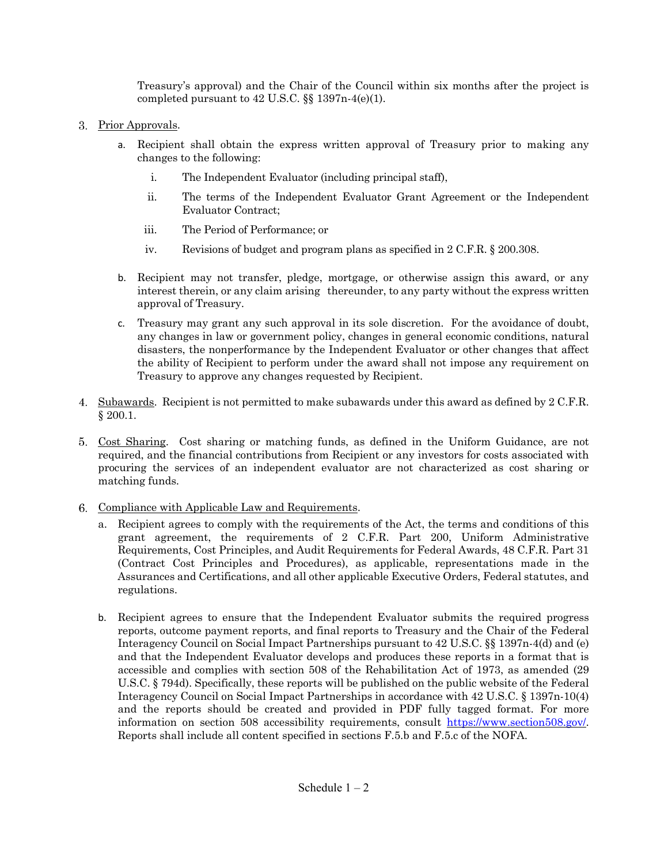Treasury's approval) and the Chair of the Council within six months after the project is completed pursuant to  $42$  U.S.C.  $\S$  $1397n-4(e)(1)$ .

- 3. Prior Approvals.
	- a. Recipient shall obtain the express written approval of Treasury prior to making any changes to the following:
		- i. The Independent Evaluator (including principal staff),
		- ii. The terms of the Independent Evaluator Grant Agreement or the Independent Evaluator Contract;
		- iii. The Period of Performance; or
		- iv. Revisions of budget and program plans as specified in 2 C.F.R. § 200.308.
	- b. Recipient may not transfer, pledge, mortgage, or otherwise assign this award, or any interest therein, or any claim arising thereunder, to any party without the express written approval of Treasury.
	- c. Treasury may grant any such approval in its sole discretion. For the avoidance of doubt, any changes in law or government policy, changes in general economic conditions, natural disasters, the nonperformance by the Independent Evaluator or other changes that affect the ability of Recipient to perform under the award shall not impose any requirement on Treasury to approve any changes requested by Recipient.
- 4. Subawards. Recipient is not permitted to make subawards under this award as defined by 2 C.F.R. § 200.1.
- Cost Sharing. Cost sharing or matching funds, as defined in the Uniform Guidance, are not required, and the financial contributions from Recipient or any investors for costs associated with procuring the services of an independent evaluator are not characterized as cost sharing or matching funds.
- 6. Compliance with Applicable Law and Requirements.
	- a. Recipient agrees to comply with the requirements of the Act, the terms and conditions of this grant agreement, the requirements of 2 C.F.R. Part 200, Uniform Administrative Requirements, Cost Principles, and Audit Requirements for Federal Awards, 48 C.F.R. Part 31 (Contract Cost Principles and Procedures), as applicable, representations made in the Assurances and Certifications, and all other applicable Executive Orders, Federal statutes, and regulations.
	- b. Recipient agrees to ensure that the Independent Evaluator submits the required progress reports, outcome payment reports, and final reports to Treasury and the Chair of the Federal Interagency Council on Social Impact Partnerships pursuant to 42 U.S.C. §§ 1397n-4(d) and (e) and that the Independent Evaluator develops and produces these reports in a format that is accessible and complies with section 508 of the Rehabilitation Act of 1973, as amended (29 U.S.C. § 794d). Specifically, these reports will be published on the public website of the Federal Interagency Council on Social Impact Partnerships in accordance with 42 U.S.C. § 1397n-10(4) and the reports should be created and provided in PDF fully tagged format. For more information on section 508 accessibility requirements, consult [https://www.section508.gov/.](http://www.section508.gov/) Reports shall include all content specified in sections F.5.b and F.5.c of the NOFA.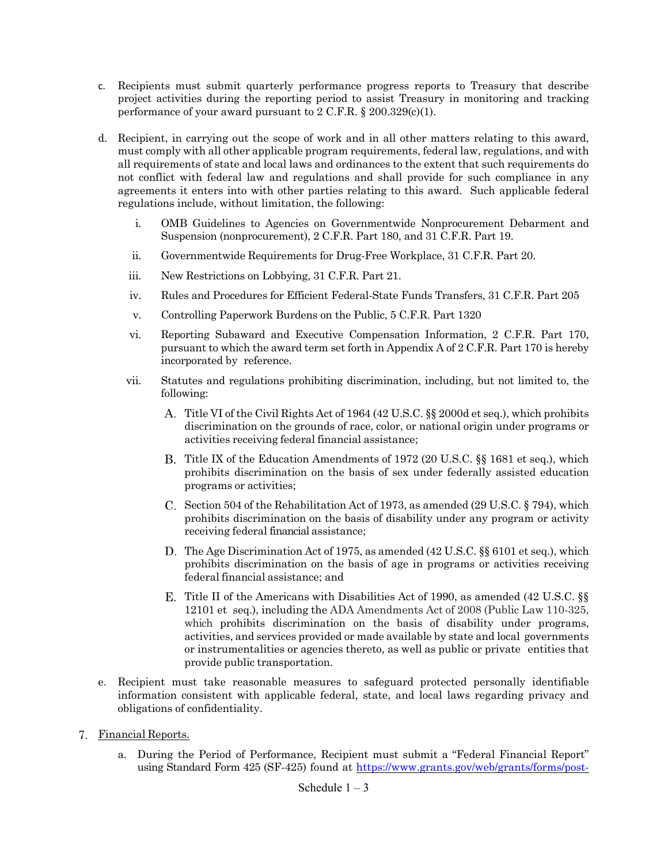- c. Recipients must submit quarterly performance progress reports to Treasury that describe project activities during the reporting period to assist Treasury in monitoring and tracking performance of your award pursuant to  $2 \text{ C.F.R. } § 200.329(c)(1)$ .
- d. Recipient, in carrying out the scope of work and in all other matters relating to this award, must comply with all other applicable program requirements, federal law, regulations, and with all requirements of state and local laws and ordinances to the extent that such requirements do not conflict with federal law and regulations and shall provide for such compliance in any agreements it enters into with other parties relating to this award. Such applicable federal regulations include, without limitation, the following:
	- i. OMB Guidelines to Agencies on Governmentwide Nonprocurement Debarment and Suspension (nonprocurement), 2 C.F.R. Part 180, and 31 C.F.R. Part 19.
	- ii. Governmentwide Requirements for Drug-Free Workplace, 31 C.F.R. Part 20.
	- iii. New Restrictions on Lobbying, 31 C.F.R. Part 21.
	- iv. Rules and Procedures for Efficient Federal-State Funds Transfers, 31 C.F.R. Part 205
	- v. Controlling Paperwork Burdens on the Public, 5 C.F.R. Part 1320
	- vi. Reporting Subaward and Executive Compensation Information, 2 C.F.R. Part 170, pursuant to which the award term set forth in Appendix A of 2 C.F.R. Part 170 is hereby incorporated by reference.
	- vii. Statutes and regulations prohibiting discrimination, including, but not limited to, the following:
		- Title VI of the Civil Rights Act of 1964 (42 U.S.C. §§ 2000d et seq.), which prohibits discrimination on the grounds of race, color, or national origin under programs or activities receiving federal financial assistance;
		- Title IX of the Education Amendments of 1972 (20 U.S.C. §§ 1681 et seq.), which prohibits discrimination on the basis of sex under federally assisted education programs or activities;
		- C. Section 504 of the Rehabilitation Act of 1973, as amended (29 U.S.C.  $\S$  794), which prohibits discrimination on the basis of disability under any program or activity receiving federal financial assistance;
		- D. The Age Discrimination Act of 1975, as amended (42 U.S.C. §§ 6101 et seq.), which prohibits discrimination on the basis of age in programs or activities receiving federal financial assistance; and
		- Title II of the Americans with Disabilities Act of 1990, as amended (42 U.S.C. §§ 12101 et seq.), including the ADA Amendments Act of 2008 (Public Law 110-325, which prohibits discrimination on the basis of disability under programs, activities, and services provided or made available by state and local governments or instrumentalities or agencies thereto, as well as public or private entities that provide public transportation.
- e. Recipient must take reasonable measures to safeguard protected personally identifiable information consistent with applicable federal, state, and local laws regarding privacy and obligations of confidentiality.
- Financial Reports.
	- a. During the Period of Performance, Recipient must submit a "Federal Financial Report" using Standard Form 425 (SF-425) found at [https://www.grants.gov/web/grants/forms/post-](https://www.grants.gov/web/grants/forms/post-award-reportingforms.html)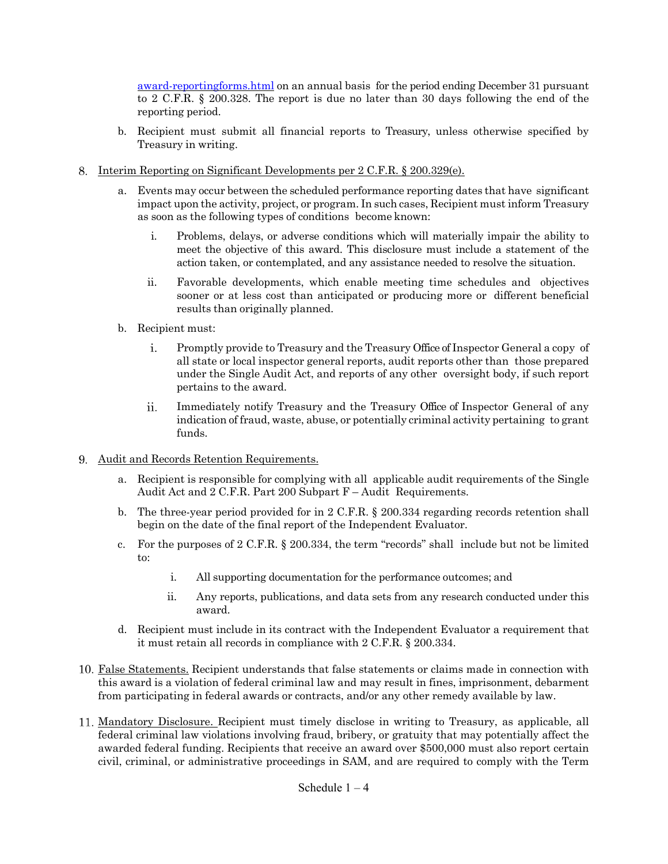[award-reportingforms.html](https://www.grants.gov/web/grants/forms/post-award-reportingforms.html) on an annual basis for the period ending December 31 pursuant to 2 C.F.R. § 200.328. The report is due no later than 30 days following the end of the reporting period.

- b. Recipient must submit all financial reports to Treasury, unless otherwise specified by Treasury in writing.
- Interim Reporting on Significant Developments per 2 C.F.R. § 200.329(e).
	- a. Events may occur between the scheduled performance reporting dates that have significant impact upon the activity, project, or program. In such cases, Recipient must inform Treasury as soon as the following types of conditions become known:
		- i. Problems, delays, or adverse conditions which will materially impair the ability to meet the objective of this award. This disclosure must include a statement of the action taken, or contemplated, and any assistance needed to resolve the situation.
		- ii. Favorable developments, which enable meeting time schedules and objectives sooner or at less cost than anticipated or producing more or different beneficial results than originally planned.
	- b. Recipient must:
		- i. Promptly provide to Treasury and the Treasury Office of Inspector General a copy of all state or local inspector general reports, audit reports other than those prepared under the Single Audit Act, and reports of any other oversight body, if such report pertains to the award.
		- ii. Immediately notify Treasury and the Treasury Office of Inspector General of any indication of fraud, waste, abuse, or potentially criminal activity pertaining to grant funds.
- Audit and Records Retention Requirements.
	- a. Recipient is responsible for complying with all applicable audit requirements of the Single Audit Act and 2 C.F.R. Part 200 Subpart F – Audit Requirements.
	- b. The three-year period provided for in 2 C.F.R. § 200.334 regarding records retention shall begin on the date of the final report of the Independent Evaluator.
	- c. For the purposes of 2 C.F.R. § 200.334, the term "records" shall include but not be limited to:
		- i. All supporting documentation for the performance outcomes; and
		- ii. Any reports, publications, and data sets from any research conducted under this award.
	- d. Recipient must include in its contract with the Independent Evaluator a requirement that it must retain all records in compliance with 2 C.F.R. § 200.334.
- False Statements. Recipient understands that false statements or claims made in connection with this award is a violation of federal criminal law and may result in fines, imprisonment, debarment from participating in federal awards or contracts, and/or any other remedy available by law.
- Mandatory Disclosure. Recipient must timely disclose in writing to Treasury, as applicable, all federal criminal law violations involving fraud, bribery, or gratuity that may potentially affect the awarded federal funding. Recipients that receive an award over \$500,000 must also report certain civil, criminal, or administrative proceedings in SAM, and are required to comply with the Term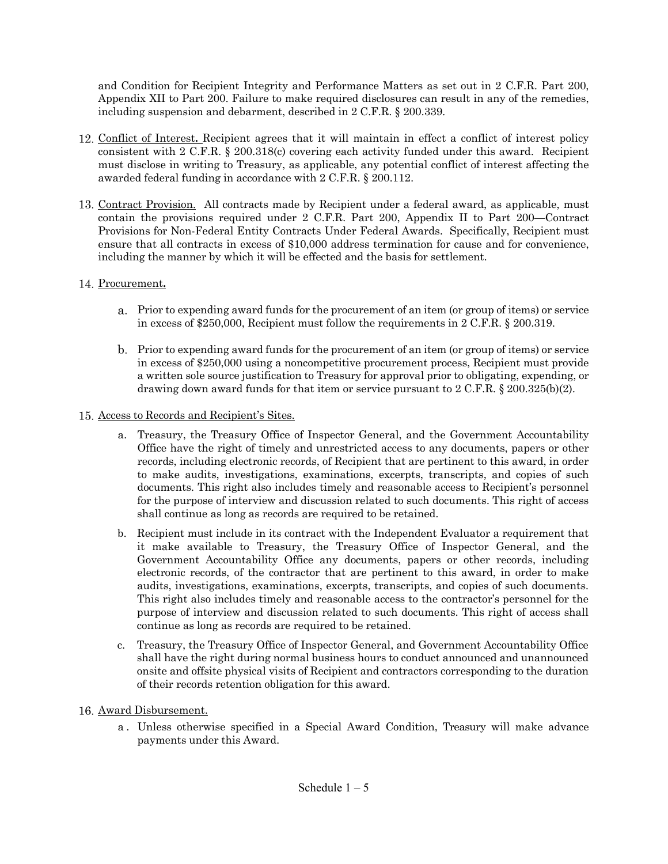and Condition for Recipient Integrity and Performance Matters as set out in 2 C.F.R. Part 200, Appendix XII to Part 200. Failure to make required disclosures can result in any of the remedies, including suspension and debarment, described in 2 C.F.R. § 200.339.

- Conflict of Interest**.** Recipient agrees that it will maintain in effect a conflict of interest policy consistent with 2 C.F.R. § 200.318(c) covering each activity funded under this award. Recipient must disclose in writing to Treasury, as applicable, any potential conflict of interest affecting the awarded federal funding in accordance with 2 C.F.R. § 200.112.
- 13. Contract Provision. All contracts made by Recipient under a federal award, as applicable, must contain the provisions required under 2 C.F.R. Part 200, Appendix II to Part 200—Contract Provisions for Non-Federal Entity Contracts Under Federal Awards. Specifically, Recipient must ensure that all contracts in excess of \$10,000 address termination for cause and for convenience, including the manner by which it will be effected and the basis for settlement.

# 14. Procurement.

- Prior to expending award funds for the procurement of an item (or group of items) or service in excess of \$250,000, Recipient must follow the requirements in 2 C.F.R. § 200.319.
- Prior to expending award funds for the procurement of an item (or group of items) or service in excess of \$250,000 using a noncompetitive procurement process, Recipient must provide a written sole source justification to Treasury for approval prior to obligating, expending, or drawing down award funds for that item or service pursuant to 2 C.F.R. § 200.325(b)(2).

### Access to Records and Recipient's Sites.

- a. Treasury, the Treasury Office of Inspector General, and the Government Accountability Office have the right of timely and unrestricted access to any documents, papers or other records, including electronic records, of Recipient that are pertinent to this award, in order to make audits, investigations, examinations, excerpts, transcripts, and copies of such documents. This right also includes timely and reasonable access to Recipient's personnel for the purpose of interview and discussion related to such documents. This right of access shall continue as long as records are required to be retained.
- b. Recipient must include in its contract with the Independent Evaluator a requirement that it make available to Treasury, the Treasury Office of Inspector General, and the Government Accountability Office any documents, papers or other records, including electronic records, of the contractor that are pertinent to this award, in order to make audits, investigations, examinations, excerpts, transcripts, and copies of such documents. This right also includes timely and reasonable access to the contractor's personnel for the purpose of interview and discussion related to such documents. This right of access shall continue as long as records are required to be retained.
- c. Treasury, the Treasury Office of Inspector General, and Government Accountability Office shall have the right during normal business hours to conduct announced and unannounced onsite and offsite physical visits of Recipient and contractors corresponding to the duration of their records retention obligation for this award.

# 16. Award Disbursement.

a . Unless otherwise specified in a Special Award Condition, Treasury will make advance payments under this Award.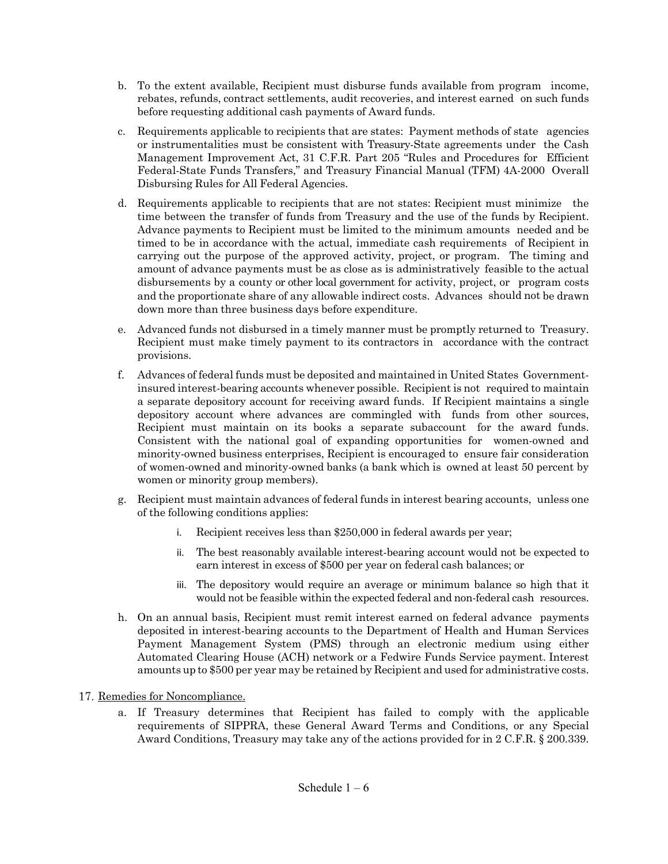- b. To the extent available, Recipient must disburse funds available from program income, rebates, refunds, contract settlements, audit recoveries, and interest earned on such funds before requesting additional cash payments of Award funds.
- c. Requirements applicable to recipients that are states: Payment methods of state agencies or instrumentalities must be consistent with Treasury-State agreements under the Cash Management Improvement Act, 31 C.F.R. Part 205 "Rules and Procedures for Efficient Federal-State Funds Transfers," and Treasury Financial Manual (TFM) 4A-2000 Overall Disbursing Rules for All Federal Agencies.
- d. Requirements applicable to recipients that are not states: Recipient must minimize the time between the transfer of funds from Treasury and the use of the funds by Recipient. Advance payments to Recipient must be limited to the minimum amounts needed and be timed to be in accordance with the actual, immediate cash requirements of Recipient in carrying out the purpose of the approved activity, project, or program. The timing and amount of advance payments must be as close as is administratively feasible to the actual disbursements by a county or other local government for activity, project, or program costs and the proportionate share of any allowable indirect costs. Advances should not be drawn down more than three business days before expenditure.
- e. Advanced funds not disbursed in a timely manner must be promptly returned to Treasury. Recipient must make timely payment to its contractors in accordance with the contract provisions.
- f. Advances of federal funds must be deposited and maintained in United States Governmentinsured interest-bearing accounts whenever possible. Recipient is not required to maintain a separate depository account for receiving award funds. If Recipient maintains a single depository account where advances are commingled with funds from other sources, Recipient must maintain on its books a separate subaccount for the award funds. Consistent with the national goal of expanding opportunities for women-owned and minority-owned business enterprises, Recipient is encouraged to ensure fair consideration of women-owned and minority-owned banks (a bank which is owned at least 50 percent by women or minority group members).
- g. Recipient must maintain advances of federal funds in interest bearing accounts, unless one of the following conditions applies:
	- i. Recipient receives less than \$250,000 in federal awards per year;
	- ii. The best reasonably available interest-bearing account would not be expected to earn interest in excess of \$500 per year on federal cash balances; or
	- iii. The depository would require an average or minimum balance so high that it would not be feasible within the expected federal and non-federal cash resources.
- h. On an annual basis, Recipient must remit interest earned on federal advance payments deposited in interest-bearing accounts to the Department of Health and Human Services Payment Management System (PMS) through an electronic medium using either Automated Clearing House (ACH) network or a Fedwire Funds Service payment. Interest amounts up to \$500 per year may be retained by Recipient and used for administrative costs.

# 17. Remedies for Noncompliance.

a. If Treasury determines that Recipient has failed to comply with the applicable requirements of SIPPRA, these General Award Terms and Conditions, or any Special Award Conditions, Treasury may take any of the actions provided for in 2 C.F.R. § 200.339.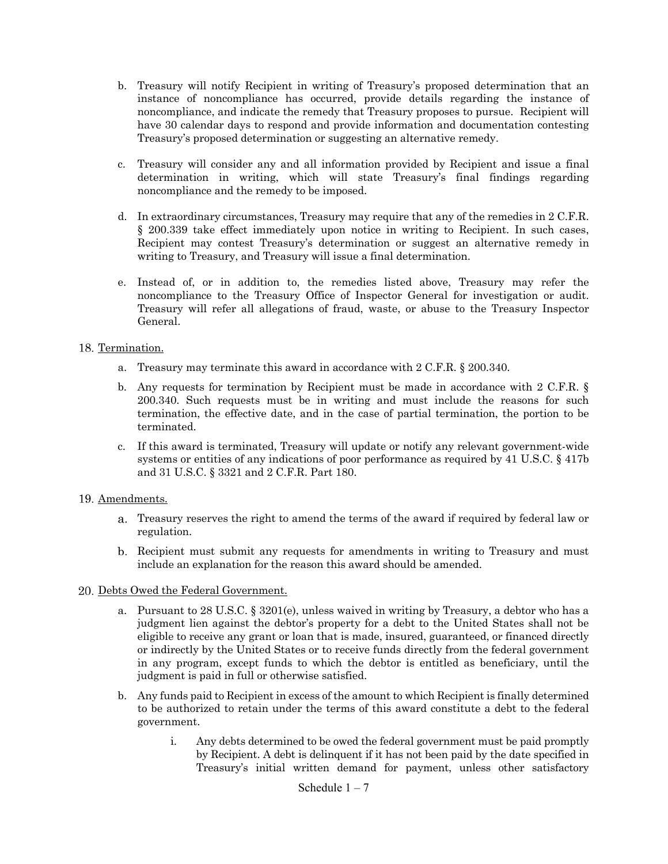- b. Treasury will notify Recipient in writing of Treasury's proposed determination that an instance of noncompliance has occurred, provide details regarding the instance of noncompliance, and indicate the remedy that Treasury proposes to pursue. Recipient will have 30 calendar days to respond and provide information and documentation contesting Treasury's proposed determination or suggesting an alternative remedy.
- c. Treasury will consider any and all information provided by Recipient and issue a final determination in writing, which will state Treasury's final findings regarding noncompliance and the remedy to be imposed.
- d. In extraordinary circumstances, Treasury may require that any of the remedies in 2 C.F.R. § 200.339 take effect immediately upon notice in writing to Recipient. In such cases, Recipient may contest Treasury's determination or suggest an alternative remedy in writing to Treasury, and Treasury will issue a final determination.
- e. Instead of, or in addition to, the remedies listed above, Treasury may refer the noncompliance to the Treasury Office of Inspector General for investigation or audit. Treasury will refer all allegations of fraud, waste, or abuse to the Treasury Inspector General.

### 18. Termination.

- a. Treasury may terminate this award in accordance with 2 C.F.R. § 200.340.
- b. Any requests for termination by Recipient must be made in accordance with 2 C.F.R. § 200.340. Such requests must be in writing and must include the reasons for such termination, the effective date, and in the case of partial termination, the portion to be terminated.
- c. If this award is terminated, Treasury will update or notify any relevant government-wide systems or entities of any indications of poor performance as required by 41 U.S.C. § 417b and 31 U.S.C. § 3321 and 2 C.F.R. Part 180.

#### 19. Amendments.

- Treasury reserves the right to amend the terms of the award if required by federal law or regulation.
- Recipient must submit any requests for amendments in writing to Treasury and must include an explanation for the reason this award should be amended.

#### 20. Debts Owed the Federal Government.

- a. Pursuant to 28 U.S.C. § 3201(e), unless waived in writing by Treasury, a debtor who has a judgment lien against the debtor's property for a debt to the United States shall not be eligible to receive any grant or loan that is made, insured, guaranteed, or financed directly or indirectly by the United States or to receive funds directly from the federal government in any program, except funds to which the debtor is entitled as beneficiary, until the judgment is paid in full or otherwise satisfied.
- b. Any funds paid to Recipient in excess of the amount to which Recipient is finally determined to be authorized to retain under the terms of this award constitute a debt to the federal government.
	- i. Any debts determined to be owed the federal government must be paid promptly by Recipient. A debt is delinquent if it has not been paid by the date specified in Treasury's initial written demand for payment, unless other satisfactory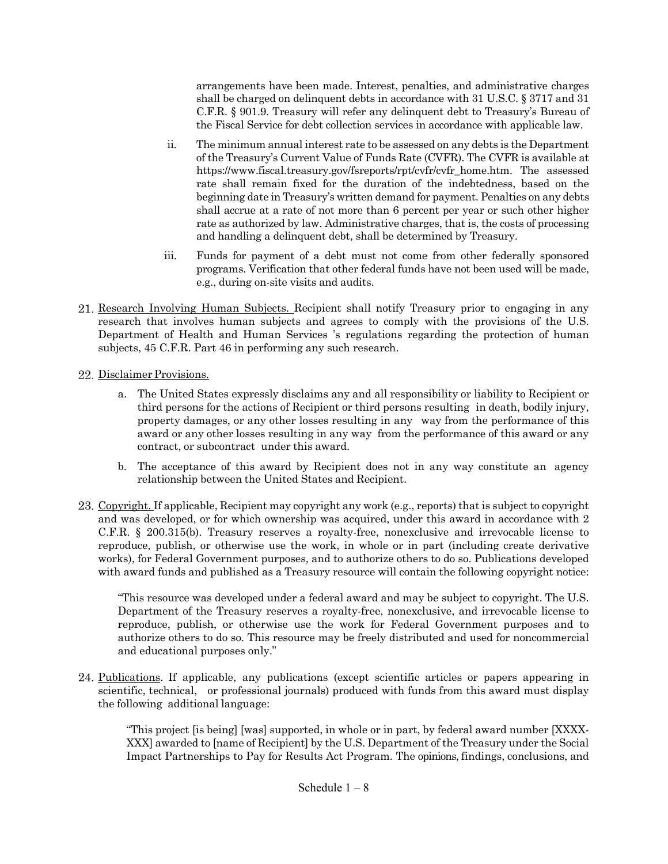arrangements have been made. Interest, penalties, and administrative charges shall be charged on delinquent debts in accordance with 31 U.S.C. § 3717 and 31 C.F.R. § 901.9. Treasury will refer any delinquent debt to Treasury's Bureau of the Fiscal Service for debt collection services in accordance with applicable law.

- ii. The minimum annual interest rate to be assessed on any debts is the Department of the Treasury's Current Value of Funds Rate (CVFR). The CVFR is available at https://www.fiscal.treasury.gov/fsreports/rpt/cvfr/cvfr home.htm. The assessed rate shall remain fixed for the duration of the indebtedness, based on the beginning date in Treasury's written demand for payment. Penalties on any debts shall accrue at a rate of not more than 6 percent per year or such other higher rate as authorized by law. Administrative charges, that is, the costs of processing and handling a delinquent debt, shall be determined by Treasury.
- iii. Funds for payment of a debt must not come from other federally sponsored programs. Verification that other federal funds have not been used will be made, e.g., during on-site visits and audits.
- 21. Research Involving Human Subjects. Recipient shall notify Treasury prior to engaging in any research that involves human subjects and agrees to comply with the provisions of the U.S. Department of Health and Human Services 's regulations regarding the protection of human subjects, 45 C.F.R. Part 46 in performing any such research.
- 22. Disclaimer Provisions.
	- a. The United States expressly disclaims any and all responsibility or liability to Recipient or third persons for the actions of Recipient or third persons resulting in death, bodily injury, property damages, or any other losses resulting in any way from the performance of this award or any other losses resulting in any way from the performance of this award or any contract, or subcontract under this award.
	- b. The acceptance of this award by Recipient does not in any way constitute an agency relationship between the United States and Recipient.
- 23. Copyright. If applicable, Recipient may copyright any work (e.g., reports) that is subject to copyright and was developed, or for which ownership was acquired, under this award in accordance with 2 C.F.R. § 200.315(b). Treasury reserves a royalty-free, nonexclusive and irrevocable license to reproduce, publish, or otherwise use the work, in whole or in part (including create derivative works), for Federal Government purposes, and to authorize others to do so. Publications developed with award funds and published as a Treasury resource will contain the following copyright notice:

"This resource was developed under a federal award and may be subject to copyright. The U.S. Department of the Treasury reserves a royalty-free, nonexclusive, and irrevocable license to reproduce, publish, or otherwise use the work for Federal Government purposes and to authorize others to do so. This resource may be freely distributed and used for noncommercial and educational purposes only."

Publications. If applicable, any publications (except scientific articles or papers appearing in scientific, technical, or professional journals) produced with funds from this award must display the following additional language:

"This project [is being] [was] supported, in whole or in part, by federal award number [XXXX-XXX] awarded to [name of Recipient] by the U.S. Department of the Treasury under the Social Impact Partnerships to Pay for Results Act Program. The opinions, findings, conclusions, and